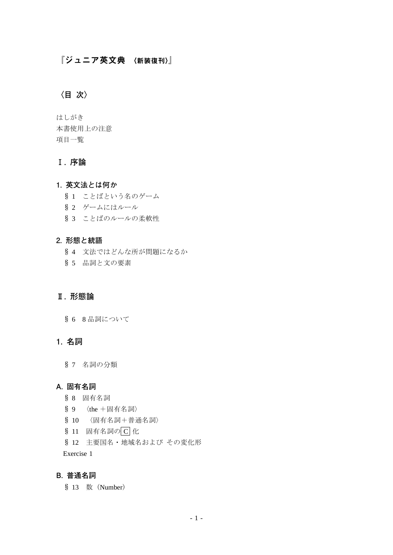# 『ジュニア英文典 〈新装復刊〉』

# **〈目 次〉**

はしがき 本書使用上の注意 項目一覧

# **Ⅰ. 序論**

# **1. 英文法とは何か**

- § 1 ことばという名のゲーム
- § 2 ゲームにはルール
- § 3 ことばのルールの柔軟性

#### **2. 形態と統語**

- § 4 文法ではどんな所が問題になるか
- § 5 品詞と文の要素

# **Ⅱ. 形態論**

§ 6 8 品詞について

## **1. 名詞**

§ 7 名詞の分類

## **A. 固有名詞**

- § 8 固有名詞
- § 9 〈the +固有名詞〉
- § 10 〈固有名詞+普通名詞〉
- § 11 固有名詞のC 化
- § 12 主要国名・地域名および その変化形

Exercise 1

# **B. 普通名詞**

§ 13 数 (Number)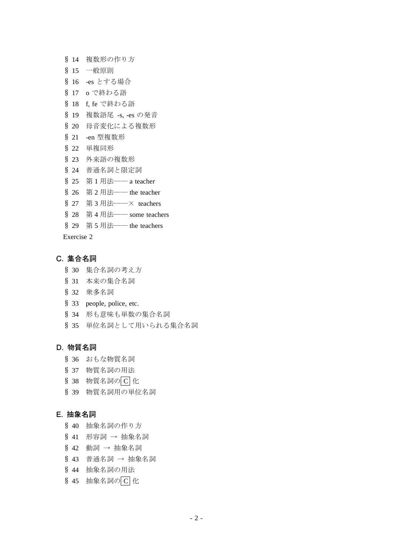- § 14 複数形の作り方
- § 15 一般原則
- § 16 -es とする場合
- § 17 o で終わる語
- § 18 f, fe で終わる語
- § 19 複数語尾 -s, -es の発音
- § 20 母音変化による複数形
- § 21 -en 型複数形
- § 22 単複同形
- § 23 外来語の複数形
- § 24 普通名詞と限定詞
- § 25 第 1 用法—— a teacher
- § 26 第 2 用法―― the teacher
- § 27 第 3 用法——× teachers
- § 28 第 4 用法―― some teachers
- § 29 第 5 用法―― the teachers

# **C. 集合名詞**

- § 30 集合名詞の考え方
- § 31 本来の集合名詞
- § 32 衆多名詞
- § 33 people, police, etc.
- § 34 形も意味も単数の集合名詞
- § 35 単位名詞として用いられる集合名詞

## **D. 物質名詞**

- § 36 おもな物質名詞
- § 37 物質名詞の用法
- § 38 物質名詞の C 化
- § 39 物質名詞用の単位名詞

#### **E. 抽象名詞**

- § 40 抽象名詞の作り方
- § 41 形容詞 → 抽象名詞
- § 42 動詞 → 抽象名詞
- § 43 普通名詞 → 抽象名詞
- § 44 抽象名詞の用法
- § 45 抽象名詞の C 化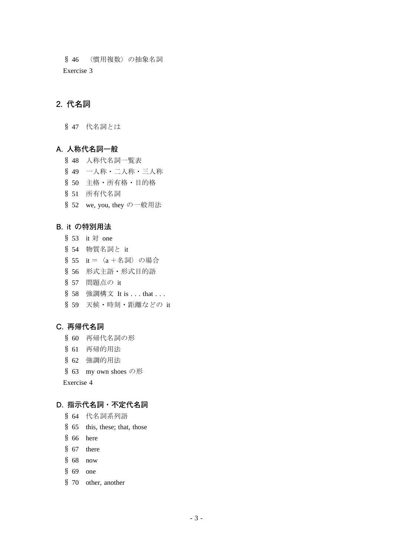§ 46 〈慣用複数〉の抽象名詞 Exercise 3

## **2. 代名詞**

§ 47 代名詞とは

## **A. 人称代名詞一般**

- § 48 人称代名詞一覧表
- § 49 一人称・二人称・三人称
- § 50 主格・所有格・目的格
- § 51 所有代名詞
- § 52 we, you, they の一般用法

#### **B. it の特別用法**

- § 53 it 対 one
- § 54 物質名詞と it
- § 55 it =〈a +名詞〉の場合
- § 56 形式主語・形式目的語
- § 57 問題点の it
- § 58 強調構文 It is . . . that . . .
- § 59 天候・時刻・距離などの it

#### **C. 再帰代名詞**

- § 60 再帰代名詞の形
- § 61 再帰的用法
- § 62 強調的用法
- § 63 my own shoes の形

Exercise 4

#### **D. 指示代名詞・不定代名詞**

- § 64 代名詞系列語
- § 65 this, these; that, those
- § 66 here
- § 67 there
- § 68 now
- § 69 one
- § 70 other, another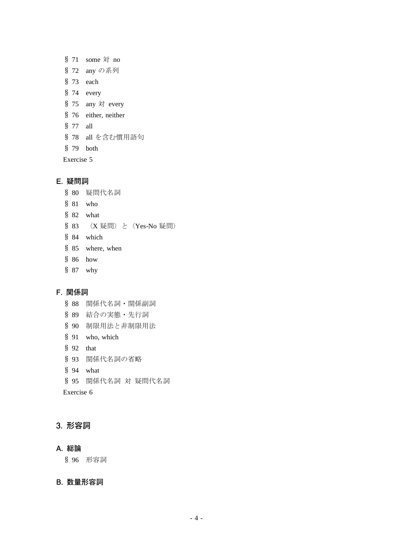|            |          | $$71$ some $$$ no        |
|------------|----------|--------------------------|
|            |          | § 72 any の系列             |
|            |          | $$73$ each               |
|            |          | $$74$ every              |
|            |          | § 75 any $\forall$ every |
|            |          | § 76 either, neither     |
|            | § 77 all |                          |
|            |          | § 78 all を含む慣用語句         |
|            |          | $$79$ both               |
| Exercise 5 |          |                          |

#### **E. 疑問詞**

- § 80 疑問代名詞 § 81 who
- § 82 what
- § 83 〈X 疑問〉と〈Yes-No 疑問〉
- § 84 which
- § 85 where, when
- § 86 how
- § 87 why

## **F. 関係詞**

- § 88 関係代名詞・関係副詞 § 89 結合の実態・先行詞 § 90 制限用法と非制限用法 § 91 who, which § 92 that § 93 関係代名詞の省略
- § 94 what
- § 95 関係代名詞 対 疑問代名詞

Exercise 6

## **3. 形容詞**

#### **A. 総論**

§ 96 形容詞

## **B. 数量形容詞**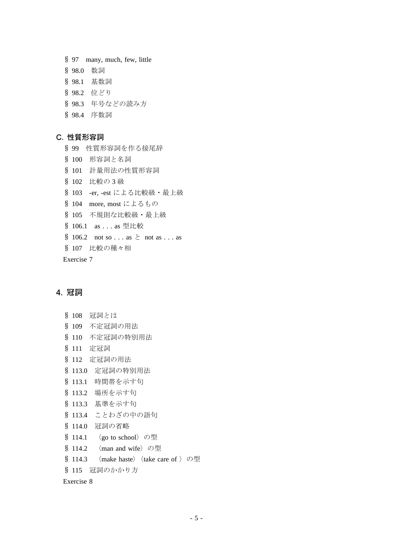§ 97 many, much, few, little § 98.0 数詞 § 98.1 基数詞 § 98.2 位どり § 98.3 年号などの読み方 § 98.4 序数詞

#### **C. 性質形容詞**

§ 99 性質形容詞を作る接尾辞 § 100 形容詞と名詞 § 101 計量用法の性質形容詞 § 102 比較の 3 級 § 103 -er, -est による比較級・最上級 § 104 more, most によるもの § 105 不規則な比較級・最上級 § 106.1 as . . . as 型比較  $\$106.2$  not so . . . as  $\&$  not as . . . as § 107 比較の種々相 Exercise 7

## **4. 冠詞**

| Š.<br>108  | 冠詞とは                                                                       |
|------------|----------------------------------------------------------------------------|
|            | § 109 不定冠詞の用法                                                              |
|            | § 110 不定冠詞の特別用法                                                            |
| § 111 定冠詞  |                                                                            |
|            | § 112 定冠詞の用法                                                               |
|            | § 113.0 定冠詞の特別用法                                                           |
|            | § 113.1 時間帯を示す句                                                            |
|            | § 113.2 場所を示す句                                                             |
|            | § 113.3 基準を示す句                                                             |
|            | § 113.4 ことわざの中の語句                                                          |
|            | § 114.0 冠詞の省略                                                              |
| \$114.1    | 〈go to school〉の型                                                           |
| \$114.2    | $\langle$ man and wife $\rangle$ の型                                        |
|            | § 114.3 $\langle$ make haste $\rangle$ $\langle$ take care of $\rangle$ の型 |
|            | § 115 冠詞のかかり方                                                              |
| Exercise 8 |                                                                            |
|            |                                                                            |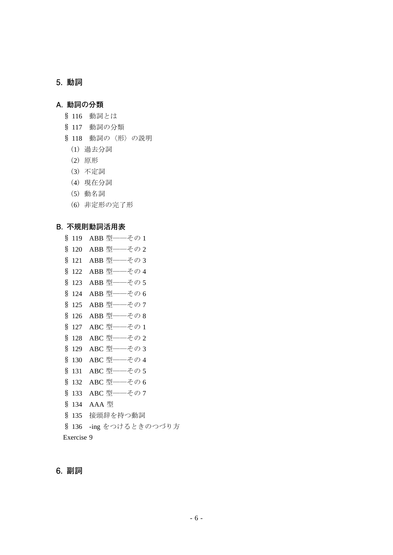# **5. 動詞**

# **A. 動詞の分類**

- § 116 動詞とは
- § 117 動詞の分類
- § 118 動詞の〈形〉の説明
- (1) 過去分詞
- (2) 原形
- (3) 不定詞
- (4) 現在分詞
- (5) 動名詞
- (6) 非定形の完了形

#### **B. 不規則動詞活用表**

§ 119 ABB 型–––その1 § 120 ABB 型–––その2 § 121 ABB 型 -- その3 § 122 ABB 型――その 4 § 123 ABB 型 -- その 5 § 124 ABB 型 ––– その 6 § 125 ABB 型 -- その7 § 126 ABB 型 -- その8 § 127 ABC 型–––その 1 § 128 ABC 型–––その2 § 129 ABC 型 ––– その 3 § 130 ABC 型–––その4 § 131 ABC 型 –– その 5 § 132 ABC 型–––その 6 § 133 ABC 型–––その7 § 134 AAA 型 § 135 接頭辞を持つ動詞 § 136 -ing をつけるときのつづり方 Exercise 9

## **6. 副詞**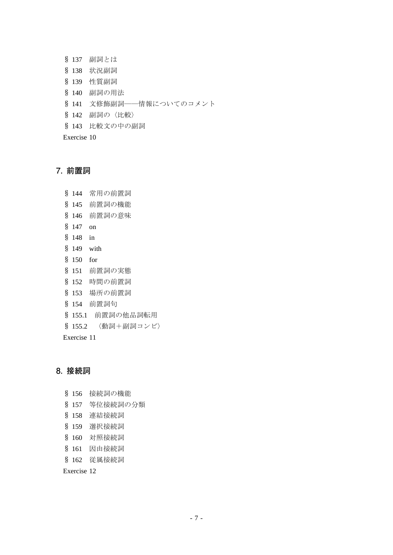- § 137 副詞とは
- § 138 状況副詞
- § 139 性質副詞
- § 140 副詞の用法
- § 141 文修飾副詞――情報についてのコメント
- § 142 副詞の〈比較〉
- § 143 比較文の中の副詞

# **7. 前置詞**

§ 144 常用の前置詞 § 145 前置詞の機能 § 146 前置詞の意味 § 147 on § 148 in § 149 with § 150 for § 151 前置詞の実態 § 152 時間の前置詞 § 153 場所の前置詞 § 154 前置詞句 § 155.1 前置詞の他品詞転用 § 155.2 〈動詞+副詞コンビ〉 Exercise 11

# **8. 接続詞**

- § 156 接続詞の機能
- § 157 等位接続詞の分類
- § 158 連結接続詞
- § 159 選択接続詞
- § 160 対照接続詞
- § 161 因由接続詞
- § 162 従属接続詞

Exercise 12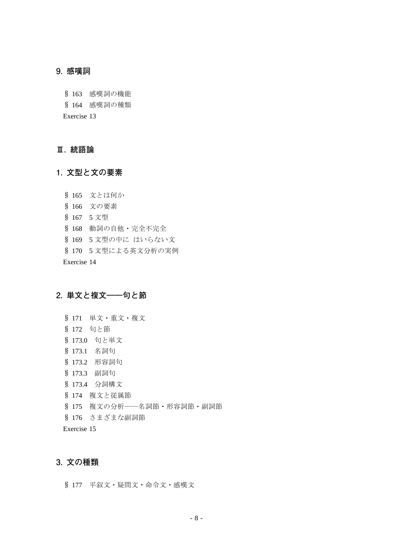#### **9. 感嘆詞**

§ 163 感嘆詞の機能

§ 164 感嘆詞の種類

Exercise 13

# **Ⅲ. 統語論**

# **1. 文型と文の要素**

- § 165 文とは何か
- § 166 文の要素
- § 167 5 文型
- § 168 動詞の自他・完全不完全
- § 169 5 文型の中に はいらない文
- § 170 5 文型による英文分析の実例

Exercise 14

# **2. 単文と複文――句と節**

- § 171 単文・重文・複文 § 172 句と節 § 173.0 句と単文 § 173.1 名詞句 § 173.2 形容詞句 § 173.3 副詞句 § 173.4 分詞構文 § 174 複文と従属節 § 175 複文の分析――名詞節・形容詞節・副詞節
- § 176 さまざまな副詞節
- Exercise 15

# **3. 文の種類**

§ 177 平叙文・疑問文・命令文・感嘆文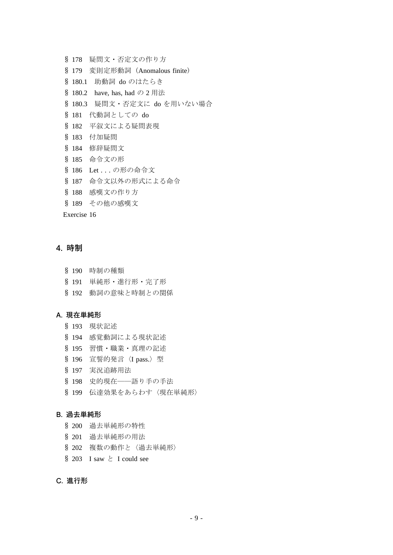- § 178 疑問文・否定文の作り方
- § 179 変則定形動詞 (Anomalous finite)
- § 180.1 助動詞 do のはたらき
- § 180.2 have, has, had の 2 用法
- § 180.3 疑問文・否定文に do を用いない場合
- § 181 代動詞としての do
- § 182 平叙文による疑問表現
- § 183 付加疑問
- § 184 修辞疑問文
- § 185 命令文の形
- § 186 Let . . . の形の命令文
- § 187 命令文以外の形式による命令
- § 188 感嘆文の作り方
- § 189 その他の感嘆文

#### **4. 時制**

- § 190 時制の種類
- § 191 単純形・進行形・完了形
- § 192 動詞の意味と時制との関係

#### **A. 現在単純形**

- § 193 現状記述
- § 194 感覚動詞による現状記述
- § 195 習慣・職業・真理の記述
- § 196 宣誓的発言〈I pass.〉型
- § 197 実況追跡用法
- § 198 史的現在――語り手の手法
- § 199 伝達効果をあらわす〈現在単純形〉

#### **B. 過去単純形**

- § 200 過去単純形の特性
- § 201 過去単純形の用法
- § 202 複数の動作と〈過去単純形〉
- § 203 I saw  $\geq$  I could see

## **C. 進行形**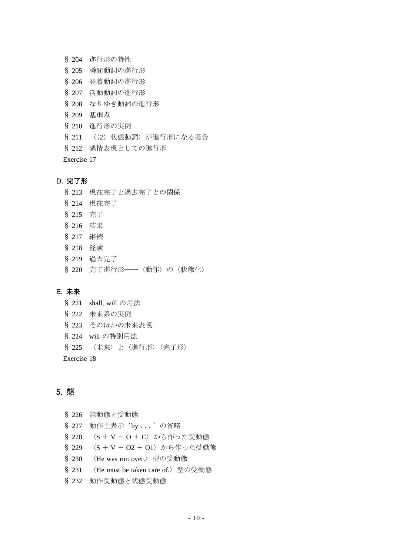- § 204 進行形の特性
- § 205 瞬間動詞の進行形
- § 206 発着動詞の進行形
- § 207 活動動詞の進行形
- § 208 なりゆき動詞の進行形
- § 209 基準点
- § 210 進行形の実例
- § 211 〈(2) 状態動詞〉が進行形になる場合
- § 212 感情表現としての進行形

#### **D. 完了形**

- § 213 現在完了と過去完了との関係
- § 214 現在完了
- § 215 完了
- § 216 結果
- § 217 継続
- § 218 経験
- § 219 過去完了
- § 220 完了進行形――〈動作〉の〈状態化〉

#### **E. 未来**

- § 221 shall, will の用法 § 222 未来系の実例
- § 223 そのほかの未来表現
- 
- § 224 will の特別用法
- § 225 〈未来〉と〈進行形〉〈完了形〉

Exercise 18

# **5. 態**

§ 226 能動態と受動態 § 227 動作主表示'by . . . 'の省略 § 228 〈S + V + O + C〉から作った受動態 § 229 〈S + V + O2 + O1〉から作った受動態 § 230 〈He was run over.〉型の受動態 § 231 〈He must be taken care of.〉型の受動態 § 232 動作受動態と状態受動態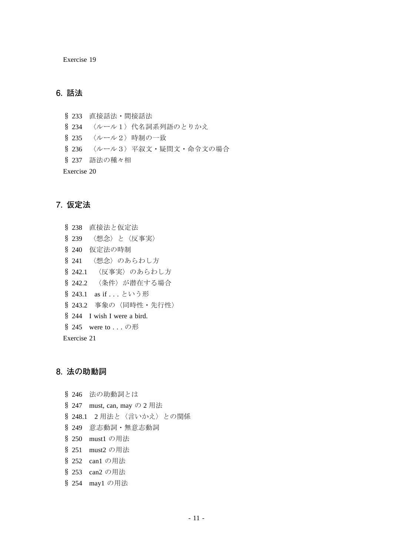# **6. 話法**

§ 233 直接話法・間接話法 § 234 〈ルール1〉代名詞系列語のとりかえ § 235 〈ルール2〉時制の一致 § 236 〈ルール3〉平叙文・疑問文・命令文の場合 § 237 語法の種々相 Exercise 20

## **7. 仮定法**

§ 238 直接法と仮定法 § 239 〈想念〉と〈反事実〉 § 240 仮定法の時制 § 241 〈想念〉のあらわし方 § 242.1 〈反事実〉のあらわし方 § 242.2 〈条件〉が潜在する場合 § 243.1 as if ... という形 § 243.2 事象の〈同時性・先行性〉 § 244 I wish I were a bird. § 245 were to . . . の形 Exercise 21

## **8. 法の助動詞**

§ 246 法の助動詞とは § 247 must, can, may の 2 用法 § 248.1 2 用法と〈言いかえ〉との関係 § 249 意志動詞・無意志動詞 § 250 must1 の用法 § 251 must2 の用法 § 252 can1 の用法 § 253 can2 の用法 § 254 may1 の用法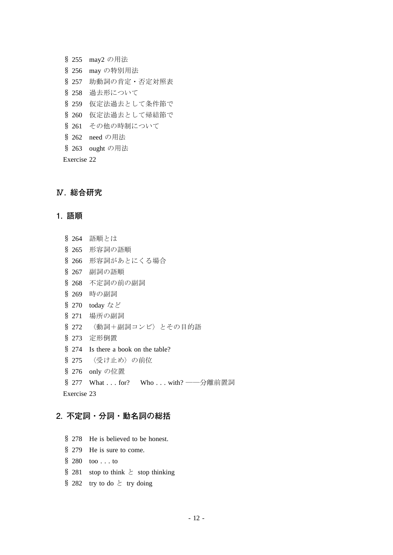§ 255 may2 の用法 § 256 may の特別用法 § 257 助動詞の肯定・否定対照表 § 258 過去形について § 259 仮定法過去として条件節で § 260 仮定法過去として帰結節で § 261 その他の時制について § 262 need の用法 § 263 ought の用法 Exercise 22

## **Ⅳ. 総合研究**

#### **1. 語順**

- § 264 語順とは
- § 265 形容詞の語順
- § 266 形容詞があとにくる場合
- § 267 副詞の語順
- § 268 不定詞の前の副詞
- § 269 時の副詞
- § 270 today など
- § 271 場所の副詞
- § 272 〈動詞+副詞コンビ〉とその目的語
- § 273 定形倒置
- § 274 Is there a book on the table?
- § 275 〈受け止め〉の前位
- § 276 only の位置
- § 277 What . . . for? Who . . . with? ——分離前置詞

Exercise 23

# **2. 不定詞・分詞・動名詞の総括**

- § 278 He is believed to be honest.
- § 279 He is sure to come.
- $$280 \tto0$ ...to
- § 281 stop to think  $\geq$  stop thinking
- § 282 try to do  $\geq$  try doing